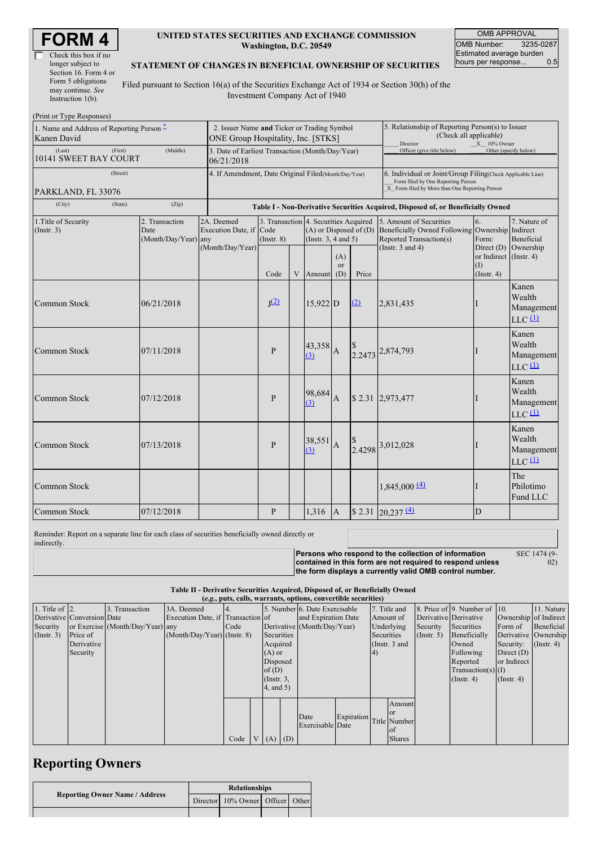| Check this box if no  |
|-----------------------|
| longer subject to     |
| Section 16. Form 4 or |
| Form 5 obligations    |
| may continue. See     |
| Instruction $1(b)$ .  |

### **UNITED STATES SECURITIES AND EXCHANGE COMMISSION Washington, D.C. 20549**

OMB APPROVAL OMB Number: 3235-0287 Estimated average burden<br>hours per response... 0.5 hours per response...

> SEC 1474 (9- 02)

#### **STATEMENT OF CHANGES IN BENEFICIAL OWNERSHIP OF SECURITIES**

Filed pursuant to Section 16(a) of the Securities Exchange Act of 1934 or Section 30(h) of the Investment Company Act of 1940

| (Print or Type Responses)                                |                                                                                                          |                                                                                  |                         |                                                                   |                                                                                                 |                |                                                                                                                                                    |                                                                                                       |                       |                                                                    |
|----------------------------------------------------------|----------------------------------------------------------------------------------------------------------|----------------------------------------------------------------------------------|-------------------------|-------------------------------------------------------------------|-------------------------------------------------------------------------------------------------|----------------|----------------------------------------------------------------------------------------------------------------------------------------------------|-------------------------------------------------------------------------------------------------------|-----------------------|--------------------------------------------------------------------|
| 1. Name and Address of Reporting Person -<br>Kanen David | 2. Issuer Name and Ticker or Trading Symbol<br>ONE Group Hospitality, Inc. [STKS]                        |                                                                                  |                         |                                                                   |                                                                                                 |                | 5. Relationship of Reporting Person(s) to Issuer<br>(Check all applicable)<br>Director<br>X 10% Owner                                              |                                                                                                       |                       |                                                                    |
| (Last)<br>(First)<br>10141 SWEET BAY COURT               | 3. Date of Earliest Transaction (Month/Day/Year)<br>06/21/2018                                           |                                                                                  |                         |                                                                   |                                                                                                 |                | Officer (give title below)                                                                                                                         |                                                                                                       | Other (specify below) |                                                                    |
| (Street)                                                 | 4. If Amendment, Date Original Filed (Month/Day/Year)                                                    |                                                                                  |                         |                                                                   |                                                                                                 |                | 6. Individual or Joint/Group Filing(Check Applicable Line)<br>Form filed by One Reporting Person<br>X Form filed by More than One Reporting Person |                                                                                                       |                       |                                                                    |
| PARKLAND, FL 33076<br>(City)<br>(State)                  |                                                                                                          | Table I - Non-Derivative Securities Acquired, Disposed of, or Beneficially Owned |                         |                                                                   |                                                                                                 |                |                                                                                                                                                    |                                                                                                       |                       |                                                                    |
| 1. Title of Security<br>(Insert. 3)                      | 2. Transaction<br>Date<br>(Month/Day/Year) any                                                           | 2A. Deemed<br>Execution Date, if                                                 | Code<br>$($ Instr. $8)$ |                                                                   | 3. Transaction 4. Securities Acquired<br>$(A)$ or Disposed of $(D)$<br>(Instr. $3, 4$ and $5$ ) |                |                                                                                                                                                    | 5. Amount of Securities<br>Beneficially Owned Following Ownership Indirect<br>Reported Transaction(s) | 6.<br>Form:           | 7. Nature of<br>Beneficial                                         |
|                                                          | (Month/Day/Year)<br>(Instr. $3$ and $4$ )<br>(A)<br><sub>or</sub><br>Code<br>V<br>Amount<br>Price<br>(D) |                                                                                  |                         | Direct $(D)$<br>or Indirect (Instr. 4)<br>(I)<br>$($ Instr. 4 $)$ | Ownership                                                                                       |                |                                                                                                                                                    |                                                                                                       |                       |                                                                    |
| Common Stock                                             | 06/21/2018                                                                                               |                                                                                  | J(2)                    |                                                                   | $15,922$ D                                                                                      |                | (2)                                                                                                                                                | 2,831,435                                                                                             |                       | Kanen<br>Wealth<br>Management<br>$LLC$ <sup>(1)</sup>              |
| <b>Common Stock</b>                                      | 07/11/2018                                                                                               |                                                                                  | $\mathbf{P}$            |                                                                   | $43,358$ $A$<br>(3)                                                                             |                |                                                                                                                                                    | 2.2473 2,874,793                                                                                      |                       | Kanen<br>Wealth<br>Management<br>$LLC$ <sup><math>(1)</math></sup> |
| <b>Common Stock</b>                                      | 07/12/2018                                                                                               |                                                                                  | P                       |                                                                   | 98,684<br>(3)                                                                                   | $\overline{A}$ |                                                                                                                                                    | \$2.31 2,973,477                                                                                      |                       | Kanen<br>Wealth<br>Management<br>$LLC$ <sup><math>(1)</math></sup> |
| <b>Common Stock</b>                                      | 07/13/2018                                                                                               |                                                                                  | P                       |                                                                   | 38,551<br>(3)                                                                                   | $\mathbf{A}$   |                                                                                                                                                    | 2.4298 3,012,028                                                                                      |                       | Kanen<br>Wealth<br>Management<br>$LLC$ <sup><math>(1)</math></sup> |
| Common Stock                                             |                                                                                                          |                                                                                  |                         |                                                                   |                                                                                                 |                |                                                                                                                                                    | $1,845,000$ $(4)$                                                                                     |                       | The<br>Philotimo<br>Fund LLC                                       |
| <b>Common Stock</b>                                      | 07/12/2018                                                                                               |                                                                                  | P                       |                                                                   | 1.316                                                                                           | $\overline{A}$ |                                                                                                                                                    | $$2.31$ 20,237 (4)                                                                                    | D                     |                                                                    |

Reminder: Report on a separate line for each class of securities beneficially owned directly or indirectly.

**Persons who respond to the collection of information contained in this form are not required to respond unless the form displays a currently valid OMB control number.**

**Table II - Derivative Securities Acquired, Disposed of, or Beneficially Owned**

|                    | (e.g., puts, calls, warrants, options, convertible securities) |                                  |                                   |      |  |                 |  |                               |                         |            |                 |                       |                              |                       |                      |
|--------------------|----------------------------------------------------------------|----------------------------------|-----------------------------------|------|--|-----------------|--|-------------------------------|-------------------------|------------|-----------------|-----------------------|------------------------------|-----------------------|----------------------|
| 1. Title of $ 2$ . |                                                                | 3. Transaction                   | 3A. Deemed                        |      |  |                 |  | 5. Number 6. Date Exercisable |                         |            | 7. Title and    |                       | 8. Price of 9. Number of 10. |                       | 11. Nature           |
|                    | Derivative Conversion Date                                     |                                  | Execution Date, if Transaction of |      |  |                 |  | and Expiration Date           |                         |            | Amount of       | Derivative Derivative |                              | Ownership of Indirect |                      |
| Security           |                                                                | or Exercise (Month/Day/Year) any |                                   | Code |  |                 |  | Derivative (Month/Day/Year)   |                         |            | Underlying      | Security              | Securities                   | Form of               | Beneficial           |
| (Insert. 3)        | Price of                                                       |                                  | $(Month/Day/Year)$ (Instr. 8)     |      |  | Securities      |  |                               |                         | Securities |                 | $($ Instr. 5 $)$      | Beneficially                 |                       | Derivative Ownership |
|                    | Derivative                                                     |                                  |                                   |      |  | Acquired        |  |                               |                         |            | (Instr. $3$ and |                       | Owned                        | Security:             | $($ Instr. 4)        |
|                    | Security                                                       |                                  |                                   |      |  | $(A)$ or        |  |                               |                         | 4)         |                 |                       | Following                    | Direct $(D)$          |                      |
|                    |                                                                |                                  |                                   |      |  | Disposed        |  |                               |                         |            |                 |                       | Reported                     | or Indirect           |                      |
|                    |                                                                |                                  |                                   |      |  | of $(D)$        |  |                               |                         |            |                 |                       | $Transaction(s)$ (I)         |                       |                      |
|                    |                                                                |                                  |                                   |      |  | $($ Instr. $3,$ |  |                               |                         |            |                 |                       | (Insert 4)                   | $($ Instr. 4 $)$      |                      |
|                    |                                                                |                                  |                                   |      |  | 4, and 5)       |  |                               |                         |            |                 |                       |                              |                       |                      |
|                    |                                                                |                                  |                                   |      |  |                 |  |                               |                         |            |                 |                       |                              |                       |                      |
|                    |                                                                |                                  |                                   |      |  |                 |  |                               |                         |            | Amount          |                       |                              |                       |                      |
|                    |                                                                |                                  |                                   |      |  |                 |  | Date                          | Expiration Title Number |            | <b>or</b>       |                       |                              |                       |                      |
|                    |                                                                |                                  |                                   |      |  |                 |  | Exercisable Date              |                         |            |                 |                       |                              |                       |                      |
|                    |                                                                |                                  |                                   |      |  |                 |  |                               |                         |            | lof             |                       |                              |                       |                      |
|                    |                                                                |                                  |                                   | Code |  | $V(A)$ (D)      |  |                               |                         |            | <b>Shares</b>   |                       |                              |                       |                      |

# **Reporting Owners**

|                                       | <b>Relationships</b> |                                  |  |  |  |  |  |
|---------------------------------------|----------------------|----------------------------------|--|--|--|--|--|
| <b>Reporting Owner Name / Address</b> |                      | Director 10% Owner Officer Other |  |  |  |  |  |
|                                       |                      |                                  |  |  |  |  |  |